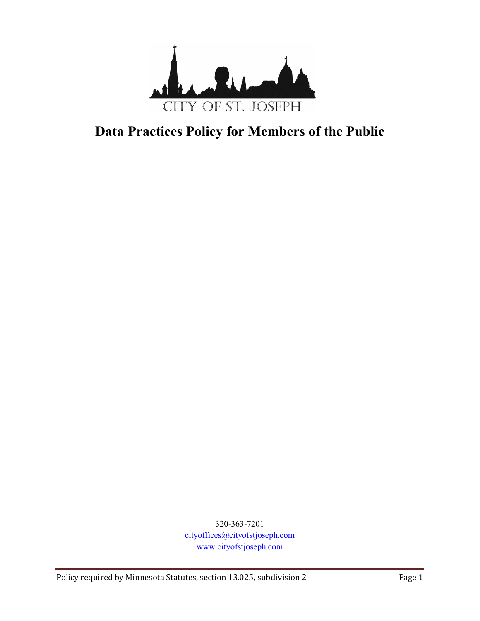

# **Data Practices Policy for Members of the Public**

320-363-7201 cityoffices@cityofstjoseph.com www.cityofstjoseph.com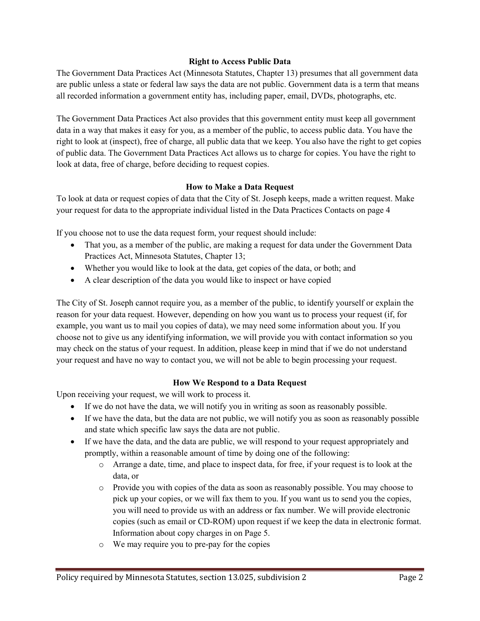## **Right to Access Public Data**

The Government Data Practices Act (Minnesota Statutes, Chapter 13) presumes that all government data are public unless a state or federal law says the data are not public. Government data is a term that means all recorded information a government entity has, including paper, email, DVDs, photographs, etc.

The Government Data Practices Act also provides that this government entity must keep all government data in a way that makes it easy for you, as a member of the public, to access public data. You have the right to look at (inspect), free of charge, all public data that we keep. You also have the right to get copies of public data. The Government Data Practices Act allows us to charge for copies. You have the right to look at data, free of charge, before deciding to request copies.

## **How to Make a Data Request**

To look at data or request copies of data that the City of St. Joseph keeps, made a written request. Make your request for data to the appropriate individual listed in the Data Practices Contacts on page 4

If you choose not to use the data request form, your request should include:

- That you, as a member of the public, are making a request for data under the Government Data Practices Act, Minnesota Statutes, Chapter 13;
- Whether you would like to look at the data, get copies of the data, or both; and
- A clear description of the data you would like to inspect or have copied

The City of St. Joseph cannot require you, as a member of the public, to identify yourself or explain the reason for your data request. However, depending on how you want us to process your request (if, for example, you want us to mail you copies of data), we may need some information about you. If you choose not to give us any identifying information, we will provide you with contact information so you may check on the status of your request. In addition, please keep in mind that if we do not understand your request and have no way to contact you, we will not be able to begin processing your request.

#### **How We Respond to a Data Request**

Upon receiving your request, we will work to process it.

- If we do not have the data, we will notify you in writing as soon as reasonably possible.
- If we have the data, but the data are not public, we will notify you as soon as reasonably possible and state which specific law says the data are not public.
- If we have the data, and the data are public, we will respond to your request appropriately and promptly, within a reasonable amount of time by doing one of the following:
	- o Arrange a date, time, and place to inspect data, for free, if your request is to look at the data, or
	- o Provide you with copies of the data as soon as reasonably possible. You may choose to pick up your copies, or we will fax them to you. If you want us to send you the copies, you will need to provide us with an address or fax number. We will provide electronic copies (such as email or CD-ROM) upon request if we keep the data in electronic format. Information about copy charges in on Page 5.
	- o We may require you to pre-pay for the copies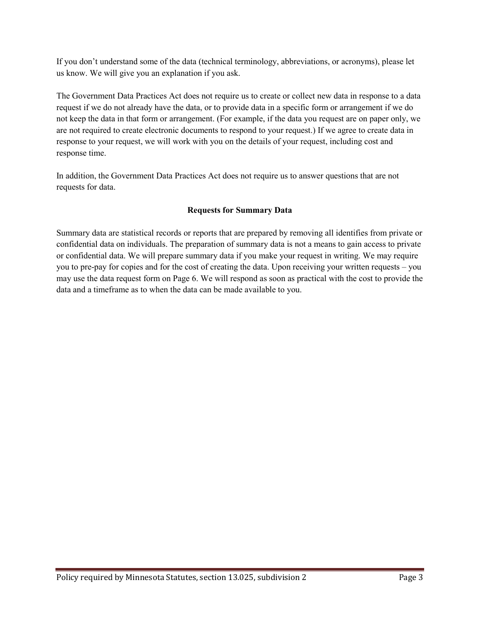If you don't understand some of the data (technical terminology, abbreviations, or acronyms), please let us know. We will give you an explanation if you ask.

The Government Data Practices Act does not require us to create or collect new data in response to a data request if we do not already have the data, or to provide data in a specific form or arrangement if we do not keep the data in that form or arrangement. (For example, if the data you request are on paper only, we are not required to create electronic documents to respond to your request.) If we agree to create data in response to your request, we will work with you on the details of your request, including cost and response time.

In addition, the Government Data Practices Act does not require us to answer questions that are not requests for data.

# **Requests for Summary Data**

Summary data are statistical records or reports that are prepared by removing all identifies from private or confidential data on individuals. The preparation of summary data is not a means to gain access to private or confidential data. We will prepare summary data if you make your request in writing. We may require you to pre-pay for copies and for the cost of creating the data. Upon receiving your written requests – you may use the data request form on Page 6. We will respond as soon as practical with the cost to provide the data and a timeframe as to when the data can be made available to you.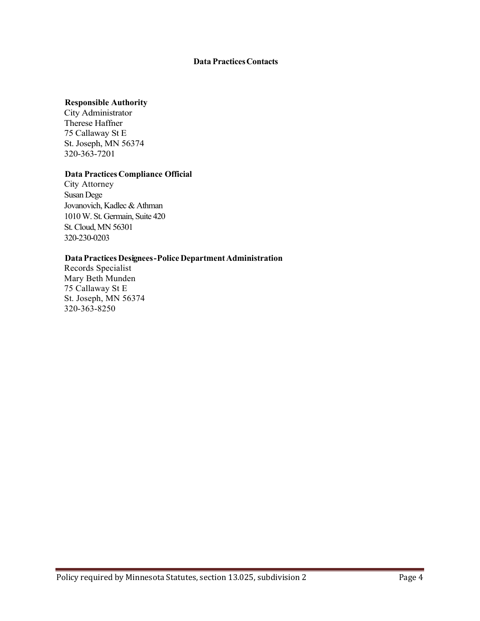## **Data PracticesContacts**

#### **Responsible Authority**

City Administrator Therese Haffner 75 Callaway St E St. Joseph, MN 56374 320-363-7201

## **Data Practices Compliance Official**

City Attorney Susan Dege Jovanovich, Kadlec & Athman 1010 W. St. Germain, Suite 420 St. Cloud, MN 56301 320-230-0203

#### **DataPractices Designees-Police DepartmentAdministration**

Records Specialist Mary Beth Munden 75 Callaway St E St. Joseph, MN 56374 320-363-8250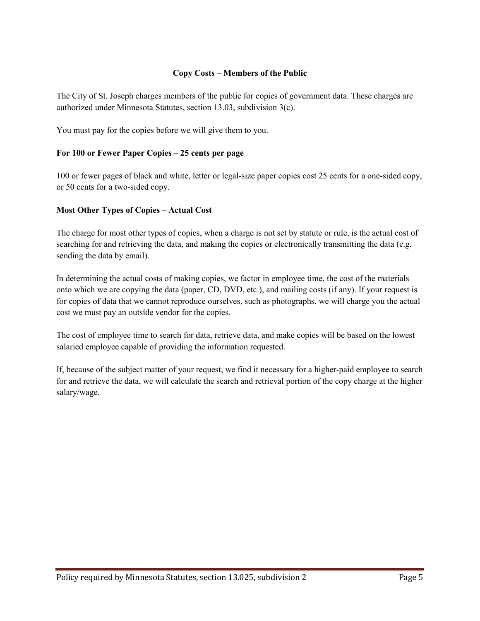# **Copy Costs – Members of the Public**

The City of St. Joseph charges members of the public for copies of government data. These charges are authorized under Minnesota Statutes, section 13.03, subdivision 3(c).

You must pay for the copies before we will give them to you.

## **For 100 or Fewer Paper Copies – 25 cents per page**

100 or fewer pages of black and white, letter or legal-size paper copies cost 25 cents for a one-sided copy, or 50 cents for a two-sided copy.

## **Most Other Types of Copies – Actual Cost**

The charge for most other types of copies, when a charge is not set by statute or rule, is the actual cost of searching for and retrieving the data, and making the copies or electronically transmitting the data (e.g. sending the data by email).

In determining the actual costs of making copies, we factor in employee time, the cost of the materials onto which we are copying the data (paper, CD, DVD, etc.), and mailing costs (if any). If your request is for copies of data that we cannot reproduce ourselves, such as photographs, we will charge you the actual cost we must pay an outside vendor for the copies.

The cost of employee time to search for data, retrieve data, and make copies will be based on the lowest salaried employee capable of providing the information requested.

If, because of the subject matter of your request, we find it necessary for a higher-paid employee to search for and retrieve the data, we will calculate the search and retrieval portion of the copy charge at the higher salary/wage.